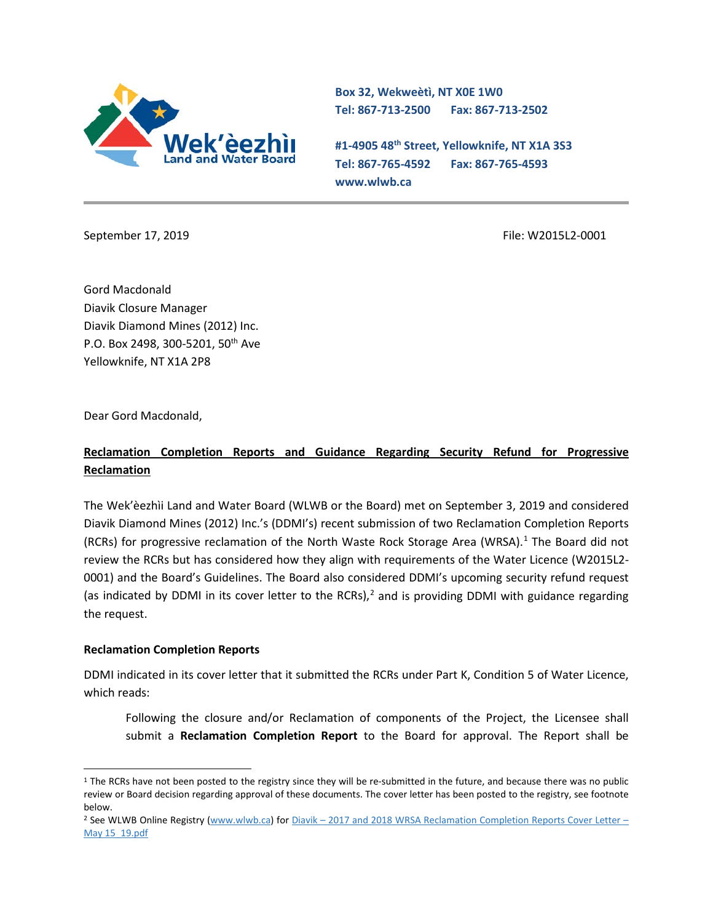

**Box 32, Wekweètì, NT X0E 1W0 Tel: 867-713-2500 Fax: 867-713-2502**

**#1-4905 48th Street, Yellowknife, NT X1A 3S3 Tel: 867-765-4592 Fax: 867-765-4593 www.wlwb.ca**

September 17, 2019 **File: W2015L2-0001** File: W2015L2-0001

Gord Macdonald Diavik Closure Manager Diavik Diamond Mines (2012) Inc. P.O. Box 2498, 300-5201, 50th Ave Yellowknife, NT X1A 2P8

Dear Gord Macdonald,

## **Reclamation Completion Reports and Guidance Regarding Security Refund for Progressive Reclamation**

The Wek'èezhìi Land and Water Board (WLWB or the Board) met on September 3, 2019 and considered Diavik Diamond Mines (2012) Inc.'s (DDMI's) recent submission of two Reclamation Completion Reports (RCRs) for progressive reclamation of the North Waste Rock Storage Area (WRSA). [1](#page-0-0) The Board did not review the RCRs but has considered how they align with requirements of the Water Licence (W2015L2- 0001) and the Board's Guidelines. The Board also considered DDMI's upcoming security refund request (as indicated by DDMI in its cover letter to the RCRs), $<sup>2</sup>$  $<sup>2</sup>$  $<sup>2</sup>$  and is providing DDMI with guidance regarding</sup> the request.

#### **Reclamation Completion Reports**

DDMI indicated in its cover letter that it submitted the RCRs under Part K, Condition 5 of Water Licence, which reads:

Following the closure and/or Reclamation of components of the Project, the Licensee shall submit a **Reclamation Completion Report** to the Board for approval. The Report shall be

<span id="page-0-0"></span><sup>&</sup>lt;sup>1</sup> The RCRs have not been posted to the registry since they will be re-submitted in the future, and because there was no public review or Board decision regarding approval of these documents. The cover letter has been posted to the registry, see footnote below.

<span id="page-0-1"></span><sup>&</sup>lt;sup>2</sup> See WLWB Online Registry [\(www.wlwb.ca\)](http://www.wlwb.ca/) for Diavik – [2017 and 2018 WRSA Reclamation Completion Reports Cover Letter –](http://registry.mvlwb.ca/Documents/W2015L2-0001/Diavik%20-%202017%20and%202018%20WRSA%20Reclamation%20Completion%20Reports%20Cover%20Letter%20-%20May%2015_19.pdf) [May 15\\_19.pdf](http://registry.mvlwb.ca/Documents/W2015L2-0001/Diavik%20-%202017%20and%202018%20WRSA%20Reclamation%20Completion%20Reports%20Cover%20Letter%20-%20May%2015_19.pdf)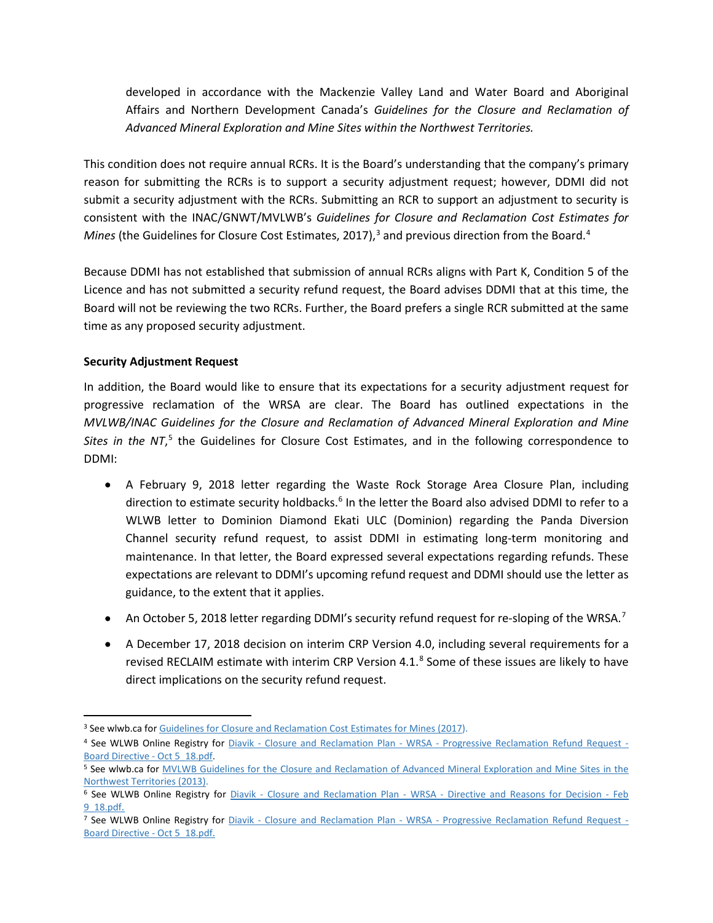developed in accordance with the Mackenzie Valley Land and Water Board and Aboriginal Affairs and Northern Development Canada's *Guidelines for the Closure and Reclamation of Advanced Mineral Exploration and Mine Sites within the Northwest Territories.*

This condition does not require annual RCRs. It is the Board's understanding that the company's primary reason for submitting the RCRs is to support a security adjustment request; however, DDMI did not submit a security adjustment with the RCRs. Submitting an RCR to support an adjustment to security is consistent with the INAC/GNWT/MVLWB's *Guidelines for Closure and Reclamation Cost Estimates for*  Mines (the Guidelines for Closure Cost Estimates, 2017),<sup>[3](#page-1-0)</sup> and previous direction from the Board.<sup>[4](#page-1-1)</sup>

Because DDMI has not established that submission of annual RCRs aligns with Part K, Condition 5 of the Licence and has not submitted a security refund request, the Board advises DDMI that at this time, the Board will not be reviewing the two RCRs. Further, the Board prefers a single RCR submitted at the same time as any proposed security adjustment.

### **Security Adjustment Request**

In addition, the Board would like to ensure that its expectations for a security adjustment request for progressive reclamation of the WRSA are clear. The Board has outlined expectations in the *MVLWB/INAC Guidelines for the Closure and Reclamation of Advanced Mineral Exploration and Mine*  Sites in the NT,<sup>[5](#page-1-2)</sup> the Guidelines for Closure Cost Estimates, and in the following correspondence to DDMI:

- A February 9, 2018 letter regarding the Waste Rock Storage Area Closure Plan, including direction to estimate security holdbacks.<sup>[6](#page-1-3)</sup> In the letter the Board also advised DDMI to refer to a WLWB letter to Dominion Diamond Ekati ULC (Dominion) regarding the Panda Diversion Channel security refund request, to assist DDMI in estimating long-term monitoring and maintenance. In that letter, the Board expressed several expectations regarding refunds. These expectations are relevant to DDMI's upcoming refund request and DDMI should use the letter as guidance, to the extent that it applies.
- An October 5, 2018 letter regarding DDMI's security refund request for re-sloping of the WRSA.<sup>[7](#page-1-4)</sup>
- A December 17, 2018 decision on interim CRP Version 4.0, including several requirements for a revised RECLAIM estimate with interim CRP Version 4.1.<sup>[8](#page-1-5)</sup> Some of these issues are likely to have direct implications on the security refund request.

<span id="page-1-5"></span><span id="page-1-0"></span><sup>&</sup>lt;sup>3</sup> See wlwb.ca for [Guidelines for Closure and Reclamation Cost Estimates for Mines \(2017\)](https://wlwb.ca/sites/default/files/images/Closure%20Cost%20Estimating%20Guidelines_FINAL_Nov%2024%202017.pdf).

<span id="page-1-1"></span><sup>4</sup> See WLWB Online Registry for Diavik - Closure and Reclamation Plan - WRSA - [Progressive Reclamation Refund Request -](http://registry.mvlwb.ca/Documents/W2015L2-0001/Diavik%20-%20Closure%20and%20Reclamation%20Plan%20-%20WRSA%20-%20Progressive%20Reclamation%20Refund%20Request%20-%20Board%20Directive%20-%20Oct%205_18.pdf) [Board Directive -](http://registry.mvlwb.ca/Documents/W2015L2-0001/Diavik%20-%20Closure%20and%20Reclamation%20Plan%20-%20WRSA%20-%20Progressive%20Reclamation%20Refund%20Request%20-%20Board%20Directive%20-%20Oct%205_18.pdf) Oct 5\_18.pdf.

<span id="page-1-2"></span><sup>5</sup> See wlwb.ca for MVLWB Guidelines for the Closure and [Reclamation](https://glwb.com/sites/default/files/documents/wg/WLWB_5363_Guidelines_Closure_Reclamation_WR.pdf) of Advanced Mineral Exploration and Mine Sites in the [Northwest](https://glwb.com/sites/default/files/documents/wg/WLWB_5363_Guidelines_Closure_Reclamation_WR.pdf) Territories (2013).

<span id="page-1-3"></span><sup>&</sup>lt;sup>6</sup> See WLWB Online Registry for *Diavik - Closure and Reclamation Plan - WRSA - [Directive and Reasons for Decision -](http://registry.mvlwb.ca/Documents/W2015L2-0001/Diavik%20-%20Closure%20and%20Reclamation%20Plan%20-%20WRSA%20-%20Directive%20and%20Reasons%20for%20Decision%20-%20Feb%209_18.pdf) Feb* [9\\_18.pdf.](http://registry.mvlwb.ca/Documents/W2015L2-0001/Diavik%20-%20Closure%20and%20Reclamation%20Plan%20-%20WRSA%20-%20Directive%20and%20Reasons%20for%20Decision%20-%20Feb%209_18.pdf)

<span id="page-1-4"></span><sup>7</sup> See WLWB Online Registry for Diavik - Closure and Reclamation Plan - WRSA - [Progressive Reclamation Refund Request -](http://registry.mvlwb.ca/Documents/W2015L2-0001/Diavik%20-%20Closure%20and%20Reclamation%20Plan%20-%20WRSA%20-%20Progressive%20Reclamation%20Refund%20Request%20-%20Board%20Directive%20-%20Oct%205_18.pdf) [Board Directive -](http://registry.mvlwb.ca/Documents/W2015L2-0001/Diavik%20-%20Closure%20and%20Reclamation%20Plan%20-%20WRSA%20-%20Progressive%20Reclamation%20Refund%20Request%20-%20Board%20Directive%20-%20Oct%205_18.pdf) Oct 5\_18.pdf.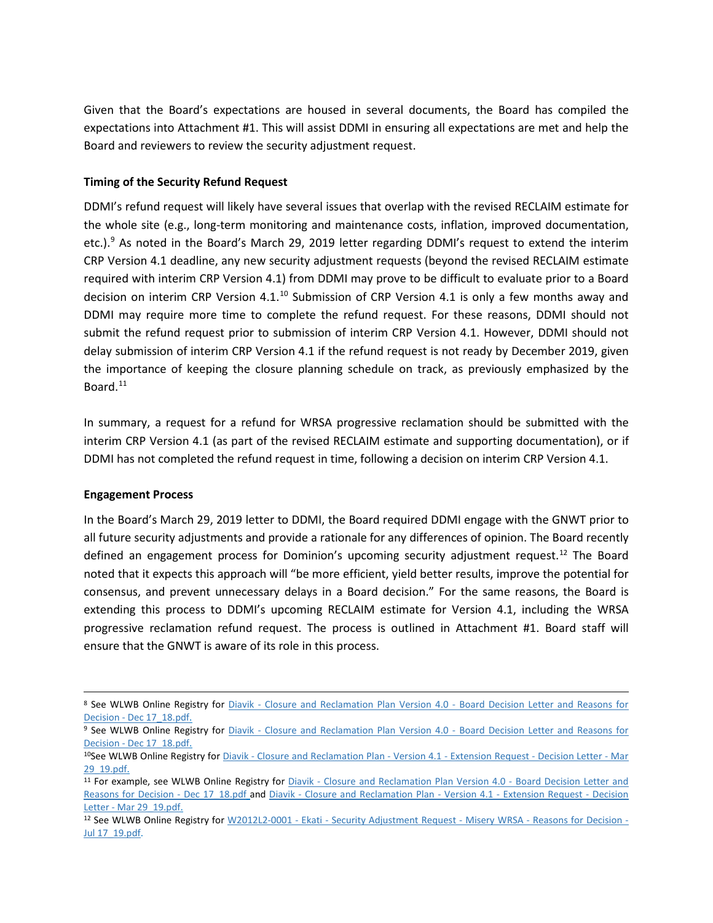Given that the Board's expectations are housed in several documents, the Board has compiled the expectations into Attachment #1. This will assist DDMI in ensuring all expectations are met and help the Board and reviewers to review the security adjustment request.

#### **Timing of the Security Refund Request**

DDMI's refund request will likely have several issues that overlap with the revised RECLAIM estimate for the whole site (e.g., long-term monitoring and maintenance costs, inflation, improved documentation, etc.).<sup>[9](#page-2-0)</sup> As noted in the Board's March 29, 2019 letter regarding DDMI's request to extend the interim CRP Version 4.1 deadline, any new security adjustment requests (beyond the revised RECLAIM estimate required with interim CRP Version 4.1) from DDMI may prove to be difficult to evaluate prior to a Board decision on interim CRP Version 4.1.<sup>[10](#page-2-1)</sup> Submission of CRP Version 4.1 is only a few months away and DDMI may require more time to complete the refund request. For these reasons, DDMI should not submit the refund request prior to submission of interim CRP Version 4.1. However, DDMI should not delay submission of interim CRP Version 4.1 if the refund request is not ready by December 2019, given the importance of keeping the closure planning schedule on track, as previously emphasized by the Board.<sup>[11](#page-2-2)</sup>

In summary, a request for a refund for WRSA progressive reclamation should be submitted with the interim CRP Version 4.1 (as part of the revised RECLAIM estimate and supporting documentation), or if DDMI has not completed the refund request in time, following a decision on interim CRP Version 4.1.

#### **Engagement Process**

In the Board's March 29, 2019 letter to DDMI, the Board required DDMI engage with the GNWT prior to all future security adjustments and provide a rationale for any differences of opinion. The Board recently defined an engagement process for Dominion's upcoming security adjustment request[.12](#page-2-3) The Board noted that it expects this approach will "be more efficient, yield better results, improve the potential for consensus, and prevent unnecessary delays in a Board decision." For the same reasons, the Board is extending this process to DDMI's upcoming RECLAIM estimate for Version 4.1, including the WRSA progressive reclamation refund request. The process is outlined in Attachment #1. Board staff will ensure that the GNWT is aware of its role in this process.

<sup>8</sup> See WLWB Online Registry for Diavik - [Closure and Reclamation Plan Version 4.0 -](http://registry.mvlwb.ca/Documents/W2015L2-0001/Diavik%20-%20Closure%20and%20Reclamation%20Plan%20Version%204.0%20-%20Board%20Decision%20Letter%20and%20Reasons%20for%20Decision%20-%20Dec%2017_18.pdf) Board Decision Letter and Reasons for Decision - [Dec 17\\_18.pdf.](http://registry.mvlwb.ca/Documents/W2015L2-0001/Diavik%20-%20Closure%20and%20Reclamation%20Plan%20Version%204.0%20-%20Board%20Decision%20Letter%20and%20Reasons%20for%20Decision%20-%20Dec%2017_18.pdf)

<span id="page-2-0"></span><sup>9</sup> See WLWB Online Registry for Diavik - [Closure and Reclamation Plan Version 4.0 -](http://registry.mvlwb.ca/Documents/W2015L2-0001/Diavik%20-%20Closure%20and%20Reclamation%20Plan%20Version%204.0%20-%20Board%20Decision%20Letter%20and%20Reasons%20for%20Decision%20-%20Dec%2017_18.pdf) Board Decision Letter and Reasons for Decision - [Dec 17\\_18.pdf.](http://registry.mvlwb.ca/Documents/W2015L2-0001/Diavik%20-%20Closure%20and%20Reclamation%20Plan%20Version%204.0%20-%20Board%20Decision%20Letter%20and%20Reasons%20for%20Decision%20-%20Dec%2017_18.pdf)

<span id="page-2-1"></span><sup>10</sup>See WLWB Online Registry for Diavik - [Closure and Reclamation Plan -](http://registry.mvlwb.ca/Documents/W2015L2-0001/Diavik%20-%20Closure%20and%20Reclamation%20Plan%20-%20Version%204.1%20-%20Extension%20Request%20-%20Decision%20Letter%20-%20Mar%2029_19.pdf) Version 4.1 - Extension Request - Decision Letter - Mar [29\\_19.pdf.](http://registry.mvlwb.ca/Documents/W2015L2-0001/Diavik%20-%20Closure%20and%20Reclamation%20Plan%20-%20Version%204.1%20-%20Extension%20Request%20-%20Decision%20Letter%20-%20Mar%2029_19.pdf)

<span id="page-2-2"></span><sup>11</sup> For example, see WLWB Online Registry for Diavik - [Closure and Reclamation Plan Version 4.0 -](http://registry.mvlwb.ca/Documents/W2015L2-0001/Diavik%20-%20Closure%20and%20Reclamation%20Plan%20Version%204.0%20-%20Board%20Decision%20Letter%20and%20Reasons%20for%20Decision%20-%20Dec%2017_18.pdf) Board Decision Letter and [Reasons for Decision -](http://registry.mvlwb.ca/Documents/W2015L2-0001/Diavik%20-%20Closure%20and%20Reclamation%20Plan%20Version%204.0%20-%20Board%20Decision%20Letter%20and%20Reasons%20for%20Decision%20-%20Dec%2017_18.pdf) Dec 17 18.pdf and Diavik - [Closure and Reclamation Plan -](http://registry.mvlwb.ca/Documents/W2015L2-0001/Diavik%20-%20Closure%20and%20Reclamation%20Plan%20-%20Version%204.1%20-%20Extension%20Request%20-%20Decision%20Letter%20-%20Mar%2029_19.pdf) Version 4.1 - Extension Request - Decision Letter - [Mar 29\\_19.pdf.](http://registry.mvlwb.ca/Documents/W2015L2-0001/Diavik%20-%20Closure%20and%20Reclamation%20Plan%20-%20Version%204.1%20-%20Extension%20Request%20-%20Decision%20Letter%20-%20Mar%2029_19.pdf)

<span id="page-2-3"></span><sup>&</sup>lt;sup>12</sup> See WLWB Online Registry for W2012L2-0001 - Ekati - [Security Adjustment Request -](http://registry.mvlwb.ca/Documents/W2012L2-0001/W2012L2-0001%20-%20Ekati%20-%20Security%20Adjustment%20Request%20-%20Misery%20WRSA%20-%20Reasons%20for%20Decision%20-%20Jul%2017_19.pdf) Misery WRSA - Reasons for Decision -[Jul 17\\_19.pdf.](http://registry.mvlwb.ca/Documents/W2012L2-0001/W2012L2-0001%20-%20Ekati%20-%20Security%20Adjustment%20Request%20-%20Misery%20WRSA%20-%20Reasons%20for%20Decision%20-%20Jul%2017_19.pdf)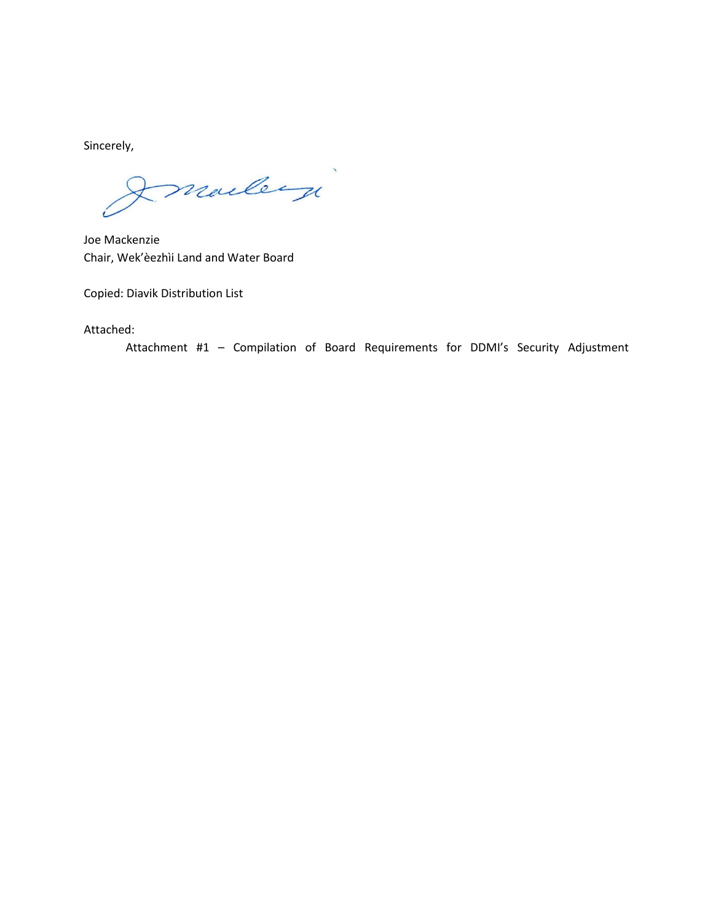Sincerely,

marley

Joe Mackenzie Chair, Wek'èezhìi Land and Water Board

Copied: Diavik Distribution List

Attached:

Attachment #1 – Compilation of Board Requirements for DDMI's Security Adjustment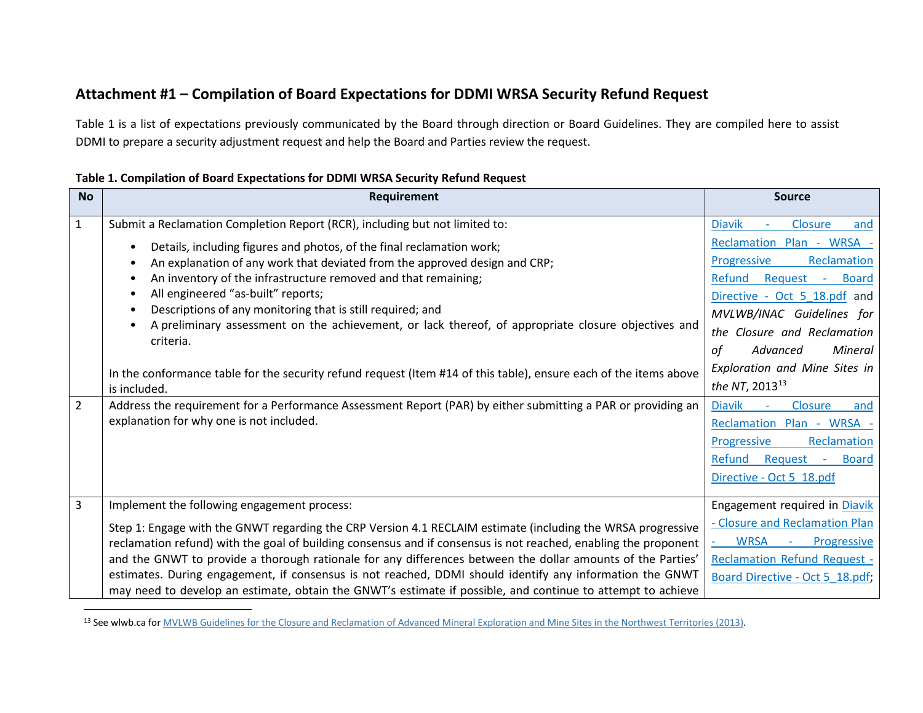# <span id="page-4-0"></span>**Attachment #1 – Compilation of Board Expectations for DDMI WRSA Security Refund Request**

Table 1 is a list of expectations previously communicated by the Board through direction or Board Guidelines. They are compiled here to assist DDMI to prepare a security adjustment request and help the Board and Parties review the request.

| Table 1. Compilation of Board Expectations for DDMI WRSA Security Refund Request |  |  |
|----------------------------------------------------------------------------------|--|--|
|----------------------------------------------------------------------------------|--|--|

| <b>No</b>      | Requirement                                                                                                                                                                                                                                                                                                                                                                                                                                                                                                                                                              | <b>Source</b>                                                                                                                                                                                                                                            |
|----------------|--------------------------------------------------------------------------------------------------------------------------------------------------------------------------------------------------------------------------------------------------------------------------------------------------------------------------------------------------------------------------------------------------------------------------------------------------------------------------------------------------------------------------------------------------------------------------|----------------------------------------------------------------------------------------------------------------------------------------------------------------------------------------------------------------------------------------------------------|
| $\mathbf{1}$   | Submit a Reclamation Completion Report (RCR), including but not limited to:                                                                                                                                                                                                                                                                                                                                                                                                                                                                                              | <b>Diavik</b><br>Closure<br>and                                                                                                                                                                                                                          |
|                | Details, including figures and photos, of the final reclamation work;<br>An explanation of any work that deviated from the approved design and CRP;<br>An inventory of the infrastructure removed and that remaining;<br>All engineered "as-built" reports;<br>Descriptions of any monitoring that is still required; and<br>A preliminary assessment on the achievement, or lack thereof, of appropriate closure objectives and<br>criteria.<br>In the conformance table for the security refund request (Item #14 of this table), ensure each of the items above       | Reclamation Plan - WRSA -<br>Progressive<br>Reclamation<br>Refund<br>Request -<br><b>Board</b><br>Directive - Oct 5 18.pdf and<br>MVLWB/INAC Guidelines for<br>the Closure and Reclamation<br>Mineral<br>of<br>Advanced<br>Exploration and Mine Sites in |
|                | is included.                                                                                                                                                                                                                                                                                                                                                                                                                                                                                                                                                             | the NT, 2013 <sup>13</sup>                                                                                                                                                                                                                               |
| $\overline{2}$ | Address the requirement for a Performance Assessment Report (PAR) by either submitting a PAR or providing an<br>explanation for why one is not included.                                                                                                                                                                                                                                                                                                                                                                                                                 | <b>Diavik</b><br>Closure<br>$\omega$<br>and<br>Reclamation Plan - WRSA -<br>Reclamation<br>Progressive<br>Refund<br>Request -<br><b>Board</b><br>Directive - Oct 5 18.pdf                                                                                |
| 3              | Implement the following engagement process:                                                                                                                                                                                                                                                                                                                                                                                                                                                                                                                              | Engagement required in Diavik                                                                                                                                                                                                                            |
|                | Step 1: Engage with the GNWT regarding the CRP Version 4.1 RECLAIM estimate (including the WRSA progressive<br>reclamation refund) with the goal of building consensus and if consensus is not reached, enabling the proponent<br>and the GNWT to provide a thorough rationale for any differences between the dollar amounts of the Parties'<br>estimates. During engagement, if consensus is not reached, DDMI should identify any information the GNWT<br>may need to develop an estimate, obtain the GNWT's estimate if possible, and continue to attempt to achieve | - Closure and Reclamation Plan<br>WRSA -<br>Progressive<br><b>Reclamation Refund Request -</b><br>Board Directive - Oct 5 18.pdf;                                                                                                                        |

<sup>&</sup>lt;sup>13</sup> See wlwb.ca for [MVLWB Guidelines for the Closure and Reclamation of Advanced Mineral Exploration and Mine Sites in the Northwest Territories \(2013\).](https://glwb.com/sites/default/files/documents/wg/WLWB_5363_Guidelines_Closure_Reclamation_WR.pdf)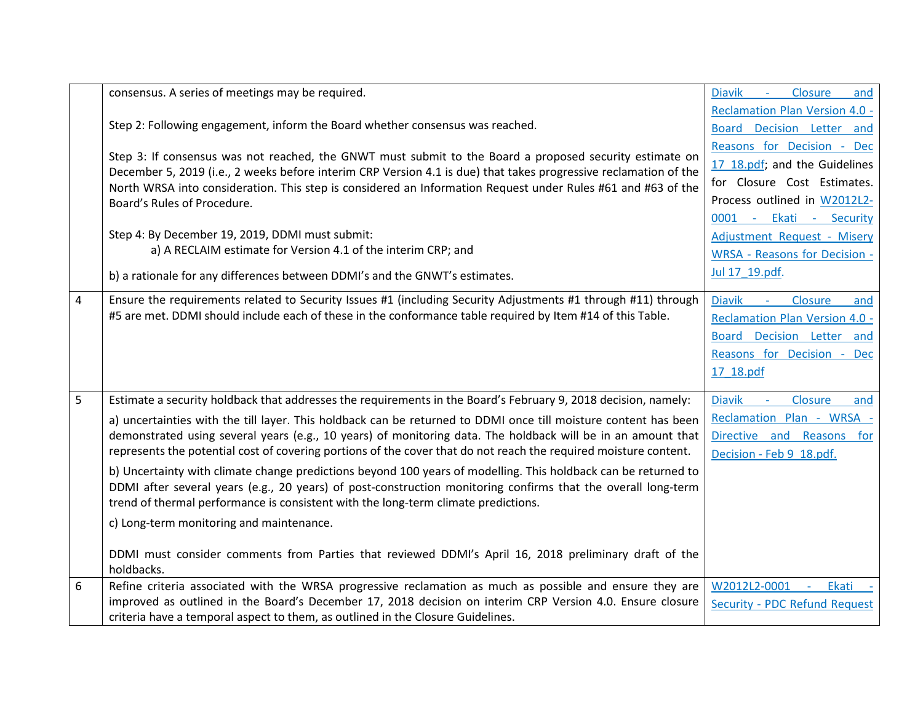|   | consensus. A series of meetings may be required.                                                                                                                                                                                 | Closure<br><b>Diavik</b><br>$\sim 100$<br>and |
|---|----------------------------------------------------------------------------------------------------------------------------------------------------------------------------------------------------------------------------------|-----------------------------------------------|
|   |                                                                                                                                                                                                                                  | <b>Reclamation Plan Version 4.0 -</b>         |
|   | Step 2: Following engagement, inform the Board whether consensus was reached.                                                                                                                                                    | Board Decision Letter and                     |
|   |                                                                                                                                                                                                                                  | Reasons for Decision - Dec                    |
|   | Step 3: If consensus was not reached, the GNWT must submit to the Board a proposed security estimate on<br>December 5, 2019 (i.e., 2 weeks before interim CRP Version 4.1 is due) that takes progressive reclamation of the      | 17 18.pdf; and the Guidelines                 |
|   | North WRSA into consideration. This step is considered an Information Request under Rules #61 and #63 of the                                                                                                                     | for Closure Cost Estimates.                   |
|   | Board's Rules of Procedure.                                                                                                                                                                                                      | Process outlined in W2012L2-                  |
|   |                                                                                                                                                                                                                                  | 0001 - Ekati - Security                       |
|   | Step 4: By December 19, 2019, DDMI must submit:                                                                                                                                                                                  | Adjustment Request - Misery                   |
|   | a) A RECLAIM estimate for Version 4.1 of the interim CRP; and                                                                                                                                                                    | <b>WRSA - Reasons for Decision -</b>          |
|   | b) a rationale for any differences between DDMI's and the GNWT's estimates.                                                                                                                                                      | Jul 17 19.pdf.                                |
|   |                                                                                                                                                                                                                                  |                                               |
| 4 | Ensure the requirements related to Security Issues #1 (including Security Adjustments #1 through #11) through                                                                                                                    | <b>Diavik</b><br>Closure<br>$\sim 100$<br>and |
|   | #5 are met. DDMI should include each of these in the conformance table required by Item #14 of this Table.                                                                                                                       | <b>Reclamation Plan Version 4.0 -</b>         |
|   |                                                                                                                                                                                                                                  | Board Decision Letter and                     |
|   |                                                                                                                                                                                                                                  | Reasons for Decision - Dec                    |
|   |                                                                                                                                                                                                                                  | 17 18.pdf                                     |
| 5 | Estimate a security holdback that addresses the requirements in the Board's February 9, 2018 decision, namely:                                                                                                                   | <b>Diavik</b><br>Closure<br>$\sim$<br>and     |
|   |                                                                                                                                                                                                                                  |                                               |
|   | a) uncertainties with the till layer. This holdback can be returned to DDMI once till moisture content has been                                                                                                                  | Reclamation Plan - WRSA -                     |
|   | demonstrated using several years (e.g., 10 years) of monitoring data. The holdback will be in an amount that<br>represents the potential cost of covering portions of the cover that do not reach the required moisture content. | Directive and Reasons for                     |
|   |                                                                                                                                                                                                                                  | Decision - Feb 9 18.pdf.                      |
|   | b) Uncertainty with climate change predictions beyond 100 years of modelling. This holdback can be returned to                                                                                                                   |                                               |
|   | DDMI after several years (e.g., 20 years) of post-construction monitoring confirms that the overall long-term<br>trend of thermal performance is consistent with the long-term climate predictions.                              |                                               |
|   |                                                                                                                                                                                                                                  |                                               |
|   | c) Long-term monitoring and maintenance.                                                                                                                                                                                         |                                               |
|   | DDMI must consider comments from Parties that reviewed DDMI's April 16, 2018 preliminary draft of the                                                                                                                            |                                               |
|   | holdbacks.                                                                                                                                                                                                                       |                                               |
| 6 | Refine criteria associated with the WRSA progressive reclamation as much as possible and ensure they are                                                                                                                         | W2012L2-0001<br>Ekati -<br>$\omega$           |
|   | improved as outlined in the Board's December 17, 2018 decision on interim CRP Version 4.0. Ensure closure                                                                                                                        | Security - PDC Refund Request                 |
|   | criteria have a temporal aspect to them, as outlined in the Closure Guidelines.                                                                                                                                                  |                                               |